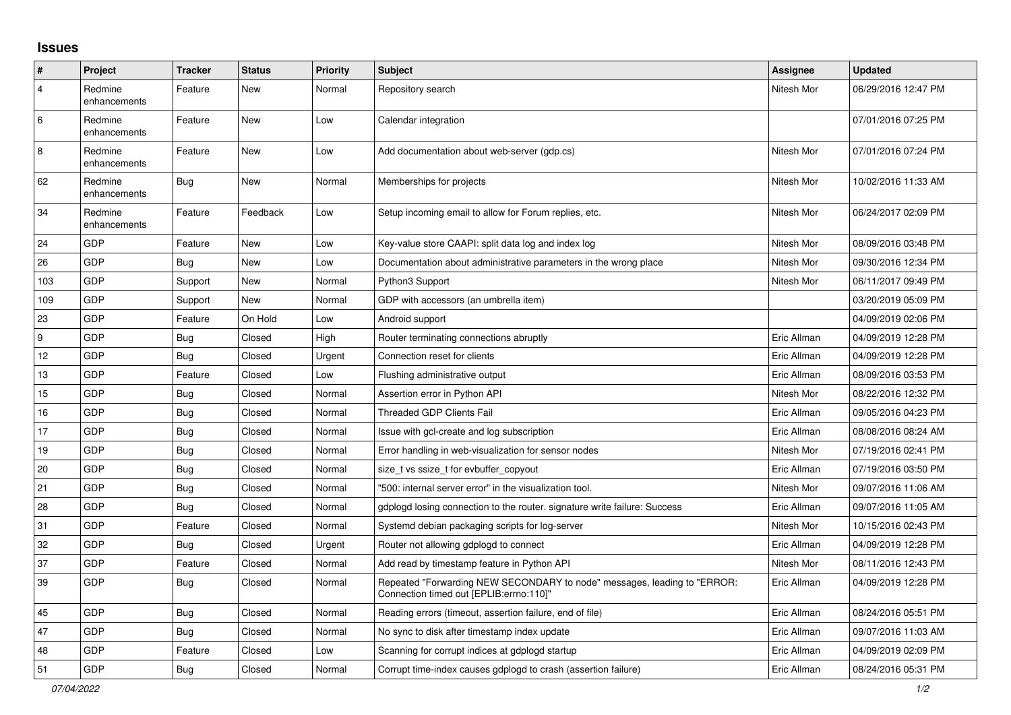## **Issues**

| ∦                | Project                 | <b>Tracker</b> | <b>Status</b> | <b>Priority</b> | <b>Subject</b>                                                                                                      | Assignee    | <b>Updated</b>      |
|------------------|-------------------------|----------------|---------------|-----------------|---------------------------------------------------------------------------------------------------------------------|-------------|---------------------|
| 4                | Redmine<br>enhancements | Feature        | New           | Normal          | Repository search                                                                                                   | Nitesh Mor  | 06/29/2016 12:47 PM |
| 6                | Redmine<br>enhancements | Feature        | New           | Low             | Calendar integration                                                                                                |             | 07/01/2016 07:25 PM |
| 8                | Redmine<br>enhancements | Feature        | <b>New</b>    | Low             | Add documentation about web-server (qdp.cs)                                                                         | Nitesh Mor  | 07/01/2016 07:24 PM |
| 62               | Redmine<br>enhancements | <b>Bug</b>     | New           | Normal          | Memberships for projects                                                                                            | Nitesh Mor  | 10/02/2016 11:33 AM |
| 34               | Redmine<br>enhancements | Feature        | Feedback      | Low             | Setup incoming email to allow for Forum replies, etc.                                                               | Nitesh Mor  | 06/24/2017 02:09 PM |
| 24               | GDP                     | Feature        | New           | Low             | Key-value store CAAPI: split data log and index log                                                                 | Nitesh Mor  | 08/09/2016 03:48 PM |
| 26               | GDP                     | <b>Bug</b>     | New           | Low             | Documentation about administrative parameters in the wrong place                                                    | Nitesh Mor  | 09/30/2016 12:34 PM |
| 103              | GDP                     | Support        | New           | Normal          | Python3 Support                                                                                                     | Nitesh Mor  | 06/11/2017 09:49 PM |
| 109              | GDP                     | Support        | New           | Normal          | GDP with accessors (an umbrella item)                                                                               |             | 03/20/2019 05:09 PM |
| 23               | GDP                     | Feature        | On Hold       | Low             | Android support                                                                                                     |             | 04/09/2019 02:06 PM |
| $\boldsymbol{9}$ | GDP                     | <b>Bug</b>     | Closed        | High            | Router terminating connections abruptly                                                                             | Eric Allman | 04/09/2019 12:28 PM |
| 12               | GDP                     | Bug            | Closed        | Urgent          | Connection reset for clients                                                                                        | Eric Allman | 04/09/2019 12:28 PM |
| 13               | GDP                     | Feature        | Closed        | Low             | Flushing administrative output                                                                                      | Eric Allman | 08/09/2016 03:53 PM |
| 15               | GDP                     | <b>Bug</b>     | Closed        | Normal          | Assertion error in Python API                                                                                       | Nitesh Mor  | 08/22/2016 12:32 PM |
| 16               | GDP                     | Bug            | Closed        | Normal          | <b>Threaded GDP Clients Fail</b>                                                                                    | Eric Allman | 09/05/2016 04:23 PM |
| 17               | GDP                     | Bug            | Closed        | Normal          | Issue with gcl-create and log subscription                                                                          | Eric Allman | 08/08/2016 08:24 AM |
| 19               | GDP                     | <b>Bug</b>     | Closed        | Normal          | Error handling in web-visualization for sensor nodes                                                                | Nitesh Mor  | 07/19/2016 02:41 PM |
| 20               | GDP                     | Bug            | Closed        | Normal          | size_t vs ssize_t for evbuffer_copyout                                                                              | Eric Allman | 07/19/2016 03:50 PM |
| 21               | GDP                     | Bug            | Closed        | Normal          | "500: internal server error" in the visualization tool.                                                             | Nitesh Mor  | 09/07/2016 11:06 AM |
| 28               | GDP                     | Bug            | Closed        | Normal          | gdplogd losing connection to the router. signature write failure: Success                                           | Eric Allman | 09/07/2016 11:05 AM |
| 31               | GDP                     | Feature        | Closed        | Normal          | Systemd debian packaging scripts for log-server                                                                     | Nitesh Mor  | 10/15/2016 02:43 PM |
| 32               | GDP                     | Bug            | Closed        | Urgent          | Router not allowing gdplogd to connect                                                                              | Eric Allman | 04/09/2019 12:28 PM |
| 37               | GDP                     | Feature        | Closed        | Normal          | Add read by timestamp feature in Python API                                                                         | Nitesh Mor  | 08/11/2016 12:43 PM |
| 39               | GDP                     | <b>Bug</b>     | Closed        | Normal          | Repeated "Forwarding NEW SECONDARY to node" messages, leading to "ERROR:<br>Connection timed out [EPLIB:errno:110]" | Eric Allman | 04/09/2019 12:28 PM |
| 45               | GDP                     | Bug            | Closed        | Normal          | Reading errors (timeout, assertion failure, end of file)                                                            | Eric Allman | 08/24/2016 05:51 PM |
| 47               | GDP                     | Bug            | Closed        | Normal          | No sync to disk after timestamp index update                                                                        | Eric Allman | 09/07/2016 11:03 AM |
| 48               | GDP                     | Feature        | Closed        | Low             | Scanning for corrupt indices at gdplogd startup                                                                     | Eric Allman | 04/09/2019 02:09 PM |
| 51               | GDP                     | Bug            | Closed        | Normal          | Corrupt time-index causes gdplogd to crash (assertion failure)                                                      | Eric Allman | 08/24/2016 05:31 PM |